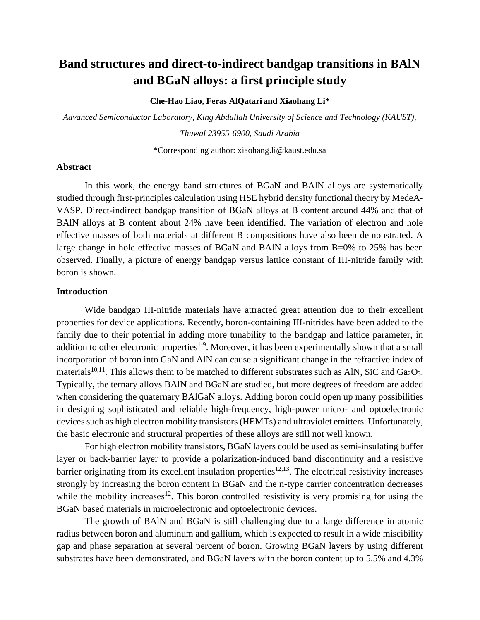# **Band structures and direct-to-indirect bandgap transitions in BAlN and BGaN alloys: a first principle study**

**Che-Hao Liao, Feras AlQatari and Xiaohang Li\***

*Advanced Semiconductor Laboratory, King Abdullah University of Science and Technology (KAUST),* 

*Thuwal 23955-6900, Saudi Arabia*

\*Corresponding author: xiaohang.li@kaust.edu.sa

### **Abstract**

In this work, the energy band structures of BGaN and BAlN alloys are systematically studied through first-principles calculation using HSE hybrid density functional theory by MedeA-VASP. Direct-indirect bandgap transition of BGaN alloys at B content around 44% and that of BAlN alloys at B content about 24% have been identified. The variation of electron and hole effective masses of both materials at different B compositions have also been demonstrated. A large change in hole effective masses of BGaN and BAlN alloys from B=0% to 25% has been observed. Finally, a picture of energy bandgap versus lattice constant of III-nitride family with boron is shown.

### **Introduction**

Wide bandgap III-nitride materials have attracted great attention due to their excellent properties for device applications. Recently, boron-containing III-nitrides have been added to the family due to their potential in adding more tunability to the bandgap and lattice parameter, in addition to other electronic properties<sup>1-9</sup>. Moreover, it has been experimentally shown that a small incorporation of boron into GaN and AlN can cause a significant change in the refractive index of materials<sup>10,11</sup>. This allows them to be matched to different substrates such as AlN, SiC and Ga<sub>2</sub>O<sub>3</sub>. Typically, the ternary alloys BAlN and BGaN are studied, but more degrees of freedom are added when considering the quaternary BAlGaN alloys. Adding boron could open up many possibilities in designing sophisticated and reliable high-frequency, high-power micro- and optoelectronic devices such as high electron mobility transistors (HEMTs) and ultraviolet emitters. Unfortunately, the basic electronic and structural properties of these alloys are still not well known.

<span id="page-0-0"></span>For high electron mobility transistors, BGaN layers could be used as semi-insulating buffer layer or back-barrier layer to provide a polarization-induced band discontinuity and a resistive barrier originating from its excellent insulation properties $12,13$ . The electrical resistivity increases strongly by increasing the boron content in BGaN and the n-type carrier concentration decreases while the mobility increases<sup>[12](#page-0-0)</sup>. This boron controlled resistivity is very promising for using the BGaN based materials in microelectronic and optoelectronic devices.

The growth of BAlN and BGaN is still challenging due to a large difference in atomic radius between boron and aluminum and gallium, which is expected to result in a wide miscibility gap and phase separation at several percent of boron. Growing BGaN layers by using different substrates have been demonstrated, and BGaN layers with the boron content up to 5.5% and 4.3%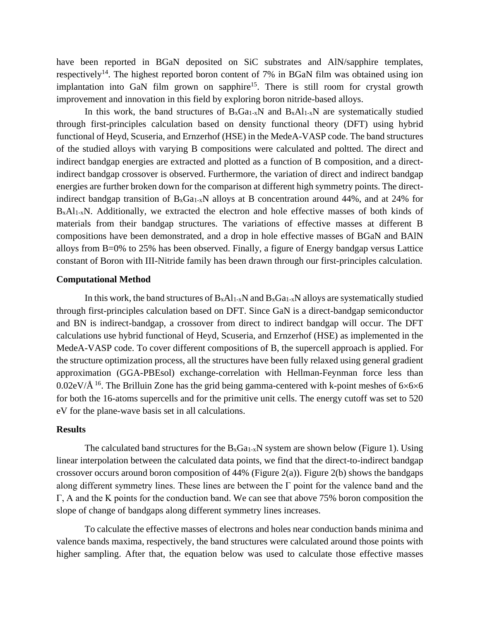have been reported in BGaN deposited on SiC substrates and AlN/sapphire templates, respectively<sup>14</sup>. The highest reported boron content of 7% in BGaN film was obtained using ion implantation into GaN film grown on sapphire<sup>15</sup>. There is still room for crystal growth improvement and innovation in this field by exploring boron nitride-based alloys.

In this work, the band structures of  $B_xGa_{1-x}N$  and  $B_xAl_{1-x}N$  are systematically studied through first-principles calculation based on density functional theory (DFT) using hybrid functional of Heyd, Scuseria, and Ernzerhof (HSE) in the MedeA-VASP code. The band structures of the studied alloys with varying B compositions were calculated and poltted. The direct and indirect bandgap energies are extracted and plotted as a function of B composition, and a directindirect bandgap crossover is observed. Furthermore, the variation of direct and indirect bandgap energies are further broken down for the comparison at different high symmetry points. The directindirect bandgap transition of  $B_xGa_{1-x}N$  alloys at B concentration around 44%, and at 24% for  $B_xAl_{1-x}N$ . Additionally, we extracted the electron and hole effective masses of both kinds of materials from their bandgap structures. The variations of effective masses at different B compositions have been demonstrated, and a drop in hole effective masses of BGaN and BAlN alloys from B=0% to 25% has been observed. Finally, a figure of Energy bandgap versus Lattice constant of Boron with III-Nitride family has been drawn through our first-principles calculation.

### **Computational Method**

In this work, the band structures of  $B_xA_{1-x}N$  and  $B_xGa_{1-x}N$  alloys are systematically studied through first-principles calculation based on DFT. Since GaN is a direct-bandgap semiconductor and BN is indirect-bandgap, a crossover from direct to indirect bandgap will occur. The DFT calculations use hybrid functional of Heyd, Scuseria, and Ernzerhof (HSE) as implemented in the MedeA-VASP code. To cover different compositions of B, the supercell approach is applied. For the structure optimization process, all the structures have been fully relaxed using general gradient approximation (GGA-PBEsol) exchange-correlation with Hellman-Feynman force less than 0.02eV/ $\AA$ <sup>16</sup>. The Brilluin Zone has the grid being gamma-centered with k-point meshes of 6×6×6 for both the 16-atoms supercells and for the primitive unit cells. The energy cutoff was set to 520 eV for the plane-wave basis set in all calculations.

#### **Results**

The calculated band structures for the  $B_xGa_{1-x}N$  system are shown below (Figure 1). Using linear interpolation between the calculated data points, we find that the direct-to-indirect bandgap crossover occurs around boron composition of 44% (Figure 2(a)). Figure 2(b) shows the bandgaps along different symmetry lines. These lines are between the Γ point for the valence band and the Γ, A and the K points for the conduction band. We can see that above 75% boron composition the slope of change of bandgaps along different symmetry lines increases.

To calculate the effective masses of electrons and holes near conduction bands minima and valence bands maxima, respectively, the band structures were calculated around those points with higher sampling. After that, the equation below was used to calculate those effective masses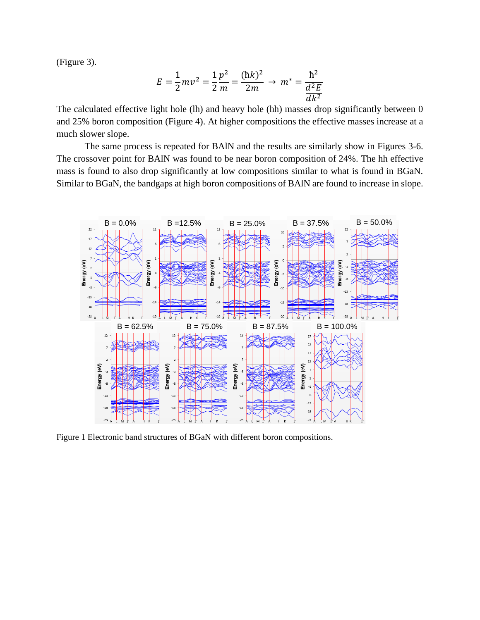(Figure 3).

$$
E = \frac{1}{2}mv^2 = \frac{1}{2}\frac{p^2}{m} = \frac{(\hbar k)^2}{2m} \to m^* = \frac{\hbar^2}{\frac{d^2E}{dk^2}}
$$

The calculated effective light hole (lh) and heavy hole (hh) masses drop significantly between 0 and 25% boron composition (Figure 4). At higher compositions the effective masses increase at a much slower slope.

The same process is repeated for BAlN and the results are similarly show in Figures 3-6. The crossover point for BAlN was found to be near boron composition of 24%. The hh effective mass is found to also drop significantly at low compositions similar to what is found in BGaN. Similar to BGaN, the bandgaps at high boron compositions of BAlN are found to increase in slope.



Figure 1 Electronic band structures of BGaN with different boron compositions.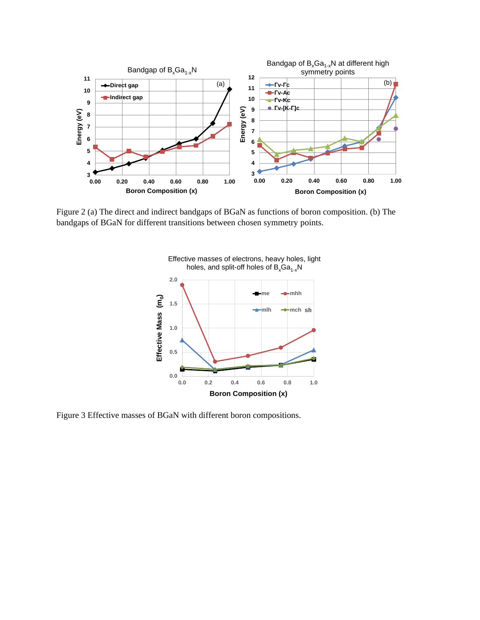

Figure 2 (a) The direct and indirect bandgaps of BGaN as functions of boron composition. (b) The bandgaps of BGaN for different transitions between chosen symmetry points.

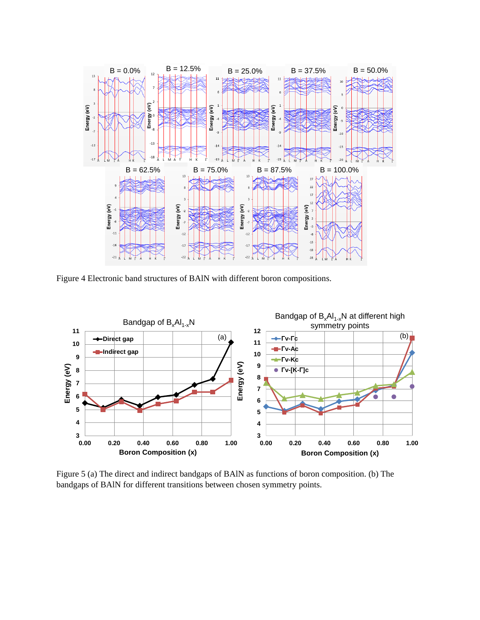

Figure 4 Electronic band structures of BAlN with different boron compositions.



Figure 5 (a) The direct and indirect bandgaps of BAlN as functions of boron composition. (b) The bandgaps of BAlN for different transitions between chosen symmetry points.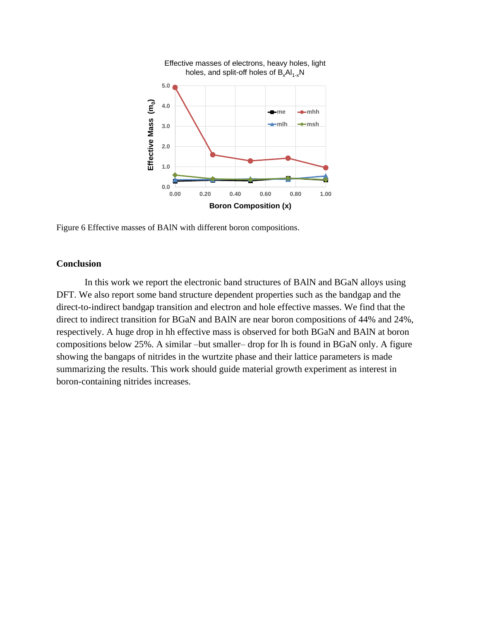

Figure 6 Effective masses of BAlN with different boron compositions.

## **Conclusion**

In this work we report the electronic band structures of BAlN and BGaN alloys using DFT. We also report some band structure dependent properties such as the bandgap and the direct-to-indirect bandgap transition and electron and hole effective masses. We find that the direct to indirect transition for BGaN and BAlN are near boron compositions of 44% and 24%, respectively. A huge drop in hh effective mass is observed for both BGaN and BAlN at boron compositions below 25%. A similar –but smaller– drop for lh is found in BGaN only. A figure showing the bangaps of nitrides in the wurtzite phase and their lattice parameters is made summarizing the results. This work should guide material growth experiment as interest in boron-containing nitrides increases.